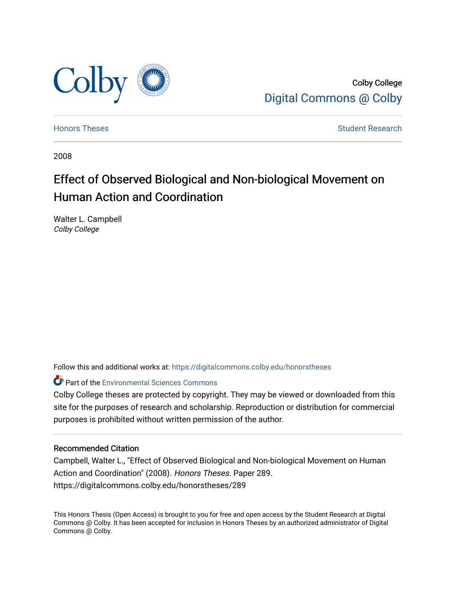

Colby College [Digital Commons @ Colby](https://digitalcommons.colby.edu/) 

[Honors Theses](https://digitalcommons.colby.edu/honorstheses) [Student Research](https://digitalcommons.colby.edu/student_research) and the Student Research Student Research

2008

# Effect of Observed Biological and Non-biological Movement on Human Action and Coordination

Walter L. Campbell Colby College

Follow this and additional works at: [https://digitalcommons.colby.edu/honorstheses](https://digitalcommons.colby.edu/honorstheses?utm_source=digitalcommons.colby.edu%2Fhonorstheses%2F289&utm_medium=PDF&utm_campaign=PDFCoverPages) 

**Part of the [Environmental Sciences Commons](http://network.bepress.com/hgg/discipline/167?utm_source=digitalcommons.colby.edu%2Fhonorstheses%2F289&utm_medium=PDF&utm_campaign=PDFCoverPages)** 

Colby College theses are protected by copyright. They may be viewed or downloaded from this site for the purposes of research and scholarship. Reproduction or distribution for commercial purposes is prohibited without written permission of the author.

## Recommended Citation

Campbell, Walter L., "Effect of Observed Biological and Non-biological Movement on Human Action and Coordination" (2008). Honors Theses. Paper 289. https://digitalcommons.colby.edu/honorstheses/289

This Honors Thesis (Open Access) is brought to you for free and open access by the Student Research at Digital Commons @ Colby. It has been accepted for inclusion in Honors Theses by an authorized administrator of Digital Commons @ Colby.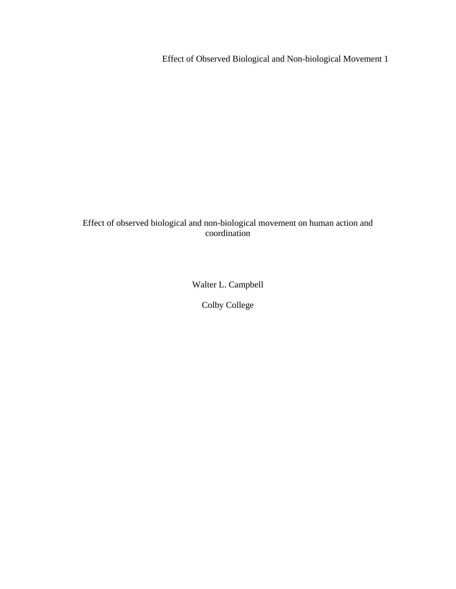## Effect of observed biological and non-biological movement on human action and coordination

Walter L. Campbell

Colby College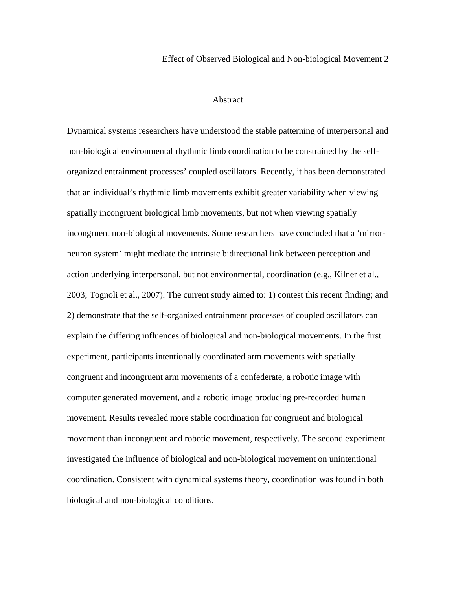## Abstract

Dynamical systems researchers have understood the stable patterning of interpersonal and non-biological environmental rhythmic limb coordination to be constrained by the selforganized entrainment processes' coupled oscillators. Recently, it has been demonstrated that an individual's rhythmic limb movements exhibit greater variability when viewing spatially incongruent biological limb movements, but not when viewing spatially incongruent non-biological movements. Some researchers have concluded that a 'mirrorneuron system' might mediate the intrinsic bidirectional link between perception and action underlying interpersonal, but not environmental, coordination (e.g., Kilner et al., 2003; Tognoli et al., 2007). The current study aimed to: 1) contest this recent finding; and 2) demonstrate that the self-organized entrainment processes of coupled oscillators can explain the differing influences of biological and non-biological movements. In the first experiment, participants intentionally coordinated arm movements with spatially congruent and incongruent arm movements of a confederate, a robotic image with computer generated movement, and a robotic image producing pre-recorded human movement. Results revealed more stable coordination for congruent and biological movement than incongruent and robotic movement, respectively. The second experiment investigated the influence of biological and non-biological movement on unintentional coordination. Consistent with dynamical systems theory, coordination was found in both biological and non-biological conditions.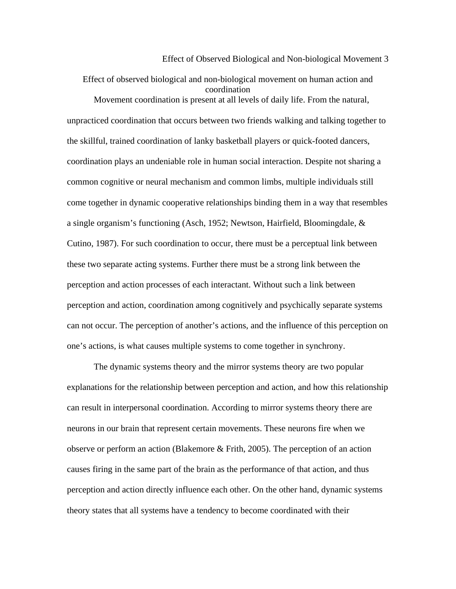Effect of observed biological and non-biological movement on human action and coordination Movement coordination is present at all levels of daily life. From the natural, unpracticed coordination that occurs between two friends walking and talking together to the skillful, trained coordination of lanky basketball players or quick-footed dancers, coordination plays an undeniable role in human social interaction. Despite not sharing a common cognitive or neural mechanism and common limbs, multiple individuals still come together in dynamic cooperative relationships binding them in a way that resembles a single organism's functioning (Asch, 1952; Newtson, Hairfield, Bloomingdale, & Cutino, 1987). For such coordination to occur, there must be a perceptual link between these two separate acting systems. Further there must be a strong link between the perception and action processes of each interactant. Without such a link between perception and action, coordination among cognitively and psychically separate systems can not occur. The perception of another's actions, and the influence of this perception on one's actions, is what causes multiple systems to come together in synchrony.

The dynamic systems theory and the mirror systems theory are two popular explanations for the relationship between perception and action, and how this relationship can result in interpersonal coordination. According to mirror systems theory there are neurons in our brain that represent certain movements. These neurons fire when we observe or perform an action (Blakemore & Frith, 2005). The perception of an action causes firing in the same part of the brain as the performance of that action, and thus perception and action directly influence each other. On the other hand, dynamic systems theory states that all systems have a tendency to become coordinated with their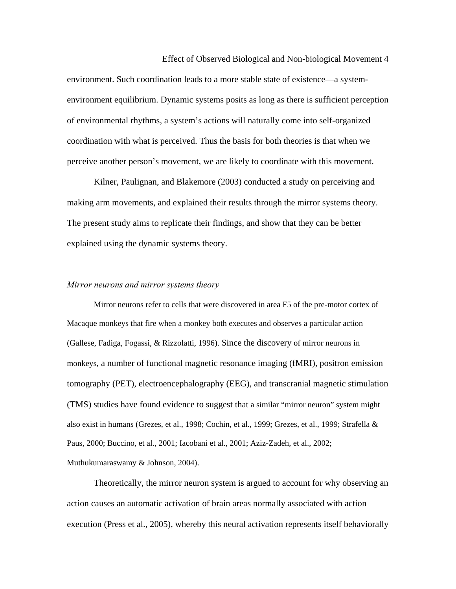environment. Such coordination leads to a more stable state of existence—a systemenvironment equilibrium. Dynamic systems posits as long as there is sufficient perception of environmental rhythms, a system's actions will naturally come into self-organized coordination with what is perceived. Thus the basis for both theories is that when we perceive another person's movement, we are likely to coordinate with this movement.

Kilner, Paulignan, and Blakemore (2003) conducted a study on perceiving and making arm movements, and explained their results through the mirror systems theory. The present study aims to replicate their findings, and show that they can be better explained using the dynamic systems theory.

#### *Mirror neurons and mirror systems theory*

Mirror neurons refer to cells that were discovered in area F5 of the pre-motor cortex of Macaque monkeys that fire when a monkey both executes and observes a particular action (Gallese, Fadiga, Fogassi, & Rizzolatti, 1996). Since the discovery of mirror neurons in monkeys, a number of functional magnetic resonance imaging (fMRI), positron emission tomography (PET), electroencephalography (EEG), and transcranial magnetic stimulation (TMS) studies have found evidence to suggest that a similar "mirror neuron" system might also exist in humans (Grezes, et al., 1998; Cochin, et al., 1999; Grezes, et al., 1999; Strafella & Paus, 2000; Buccino, et al., 2001; Iacobani et al., 2001; Aziz-Zadeh, et al., 2002; Muthukumaraswamy & Johnson, 2004).

Theoretically, the mirror neuron system is argued to account for why observing an action causes an automatic activation of brain areas normally associated with action execution (Press et al., 2005), whereby this neural activation represents itself behaviorally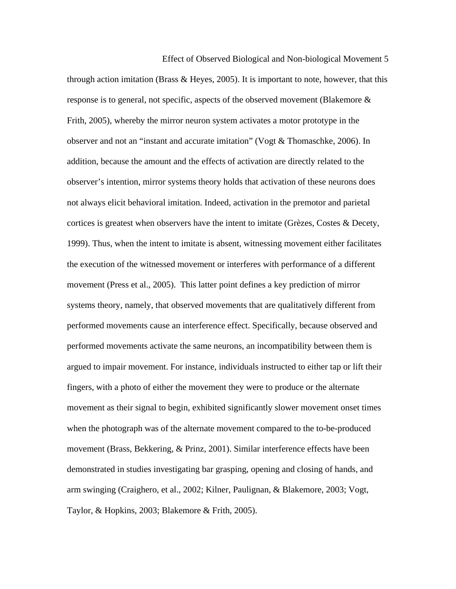Effect of Observed Biological and Non-biological Movement 5 through action imitation (Brass  $\&$  Heyes, 2005). It is important to note, however, that this response is to general, not specific, aspects of the observed movement (Blakemore & Frith, 2005), whereby the mirror neuron system activates a motor prototype in the observer and not an "instant and accurate imitation" (Vogt & Thomaschke, 2006). In addition, because the amount and the effects of activation are directly related to the observer's intention, mirror systems theory holds that activation of these neurons does not always elicit behavioral imitation. Indeed, activation in the premotor and parietal cortices is greatest when observers have the intent to imitate (Grèzes, Costes & Decety, 1999). Thus, when the intent to imitate is absent, witnessing movement either facilitates the execution of the witnessed movement or interferes with performance of a different movement (Press et al., 2005). This latter point defines a key prediction of mirror systems theory, namely, that observed movements that are qualitatively different from performed movements cause an interference effect. Specifically, because observed and performed movements activate the same neurons, an incompatibility between them is argued to impair movement. For instance, individuals instructed to either tap or lift their fingers, with a photo of either the movement they were to produce or the alternate movement as their signal to begin, exhibited significantly slower movement onset times when the photograph was of the alternate movement compared to the to-be-produced movement (Brass, Bekkering, & Prinz, 2001). Similar interference effects have been demonstrated in studies investigating bar grasping, opening and closing of hands, and arm swinging (Craighero, et al., 2002; Kilner, Paulignan, & Blakemore, 2003; Vogt, Taylor, & Hopkins, 2003; Blakemore & Frith, 2005).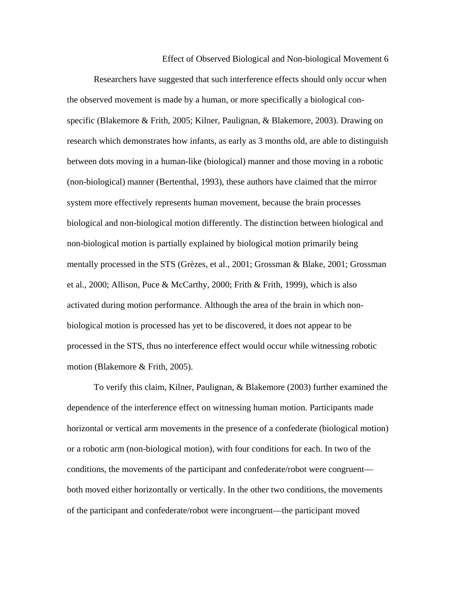Researchers have suggested that such interference effects should only occur when the observed movement is made by a human, or more specifically a biological conspecific (Blakemore & Frith, 2005; Kilner, Paulignan, & Blakemore, 2003). Drawing on research which demonstrates how infants, as early as 3 months old, are able to distinguish between dots moving in a human-like (biological) manner and those moving in a robotic (non-biological) manner (Bertenthal, 1993), these authors have claimed that the mirror system more effectively represents human movement, because the brain processes biological and non-biological motion differently. The distinction between biological and non-biological motion is partially explained by biological motion primarily being mentally processed in the STS (Grèzes, et al., 2001; Grossman & Blake, 2001; Grossman et al., 2000; Allison, Puce & McCarthy, 2000; Frith & Frith, 1999), which is also activated during motion performance. Although the area of the brain in which nonbiological motion is processed has yet to be discovered, it does not appear to be processed in the STS, thus no interference effect would occur while witnessing robotic motion (Blakemore & Frith, 2005).

To verify this claim, Kilner, Paulignan, & Blakemore (2003) further examined the dependence of the interference effect on witnessing human motion. Participants made horizontal or vertical arm movements in the presence of a confederate (biological motion) or a robotic arm (non-biological motion), with four conditions for each. In two of the conditions, the movements of the participant and confederate/robot were congruent both moved either horizontally or vertically. In the other two conditions, the movements of the participant and confederate/robot were incongruent—the participant moved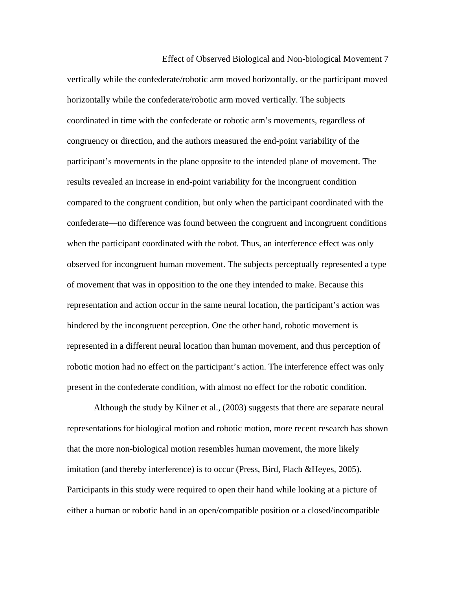Effect of Observed Biological and Non-biological Movement 7 vertically while the confederate/robotic arm moved horizontally, or the participant moved horizontally while the confederate/robotic arm moved vertically. The subjects coordinated in time with the confederate or robotic arm's movements, regardless of congruency or direction, and the authors measured the end-point variability of the participant's movements in the plane opposite to the intended plane of movement. The results revealed an increase in end-point variability for the incongruent condition compared to the congruent condition, but only when the participant coordinated with the confederate—no difference was found between the congruent and incongruent conditions when the participant coordinated with the robot. Thus, an interference effect was only observed for incongruent human movement. The subjects perceptually represented a type of movement that was in opposition to the one they intended to make. Because this representation and action occur in the same neural location, the participant's action was hindered by the incongruent perception. One the other hand, robotic movement is represented in a different neural location than human movement, and thus perception of robotic motion had no effect on the participant's action. The interference effect was only present in the confederate condition, with almost no effect for the robotic condition.

Although the study by Kilner et al., (2003) suggests that there are separate neural representations for biological motion and robotic motion, more recent research has shown that the more non-biological motion resembles human movement, the more likely imitation (and thereby interference) is to occur (Press, Bird, Flach &Heyes, 2005). Participants in this study were required to open their hand while looking at a picture of either a human or robotic hand in an open/compatible position or a closed/incompatible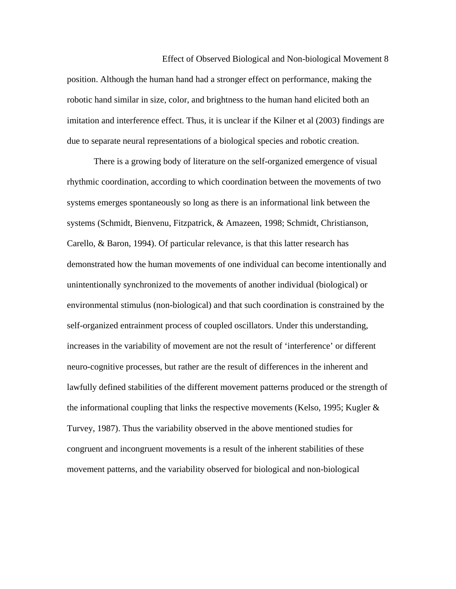Effect of Observed Biological and Non-biological Movement 8 position. Although the human hand had a stronger effect on performance, making the robotic hand similar in size, color, and brightness to the human hand elicited both an imitation and interference effect. Thus, it is unclear if the Kilner et al (2003) findings are due to separate neural representations of a biological species and robotic creation.

There is a growing body of literature on the self-organized emergence of visual rhythmic coordination, according to which coordination between the movements of two systems emerges spontaneously so long as there is an informational link between the systems (Schmidt, Bienvenu, Fitzpatrick, & Amazeen, 1998; Schmidt, Christianson, Carello, & Baron, 1994). Of particular relevance, is that this latter research has demonstrated how the human movements of one individual can become intentionally and unintentionally synchronized to the movements of another individual (biological) or environmental stimulus (non-biological) and that such coordination is constrained by the self-organized entrainment process of coupled oscillators. Under this understanding, increases in the variability of movement are not the result of 'interference' or different neuro-cognitive processes, but rather are the result of differences in the inherent and lawfully defined stabilities of the different movement patterns produced or the strength of the informational coupling that links the respective movements (Kelso, 1995; Kugler  $\&$ Turvey, 1987). Thus the variability observed in the above mentioned studies for congruent and incongruent movements is a result of the inherent stabilities of these movement patterns, and the variability observed for biological and non-biological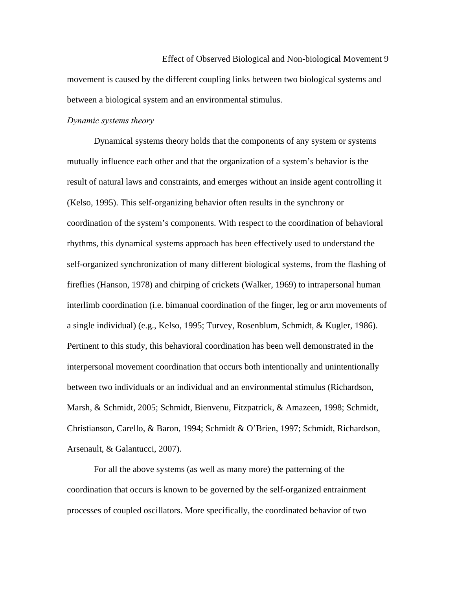Effect of Observed Biological and Non-biological Movement 9 movement is caused by the different coupling links between two biological systems and between a biological system and an environmental stimulus.

## *Dynamic systems theory*

 Dynamical systems theory holds that the components of any system or systems mutually influence each other and that the organization of a system's behavior is the result of natural laws and constraints, and emerges without an inside agent controlling it (Kelso, 1995). This self-organizing behavior often results in the synchrony or coordination of the system's components. With respect to the coordination of behavioral rhythms, this dynamical systems approach has been effectively used to understand the self-organized synchronization of many different biological systems, from the flashing of fireflies (Hanson, 1978) and chirping of crickets (Walker, 1969) to intrapersonal human interlimb coordination (i.e. bimanual coordination of the finger, leg or arm movements of a single individual) (e.g., Kelso, 1995; Turvey, Rosenblum, Schmidt, & Kugler, 1986). Pertinent to this study, this behavioral coordination has been well demonstrated in the interpersonal movement coordination that occurs both intentionally and unintentionally between two individuals or an individual and an environmental stimulus (Richardson, Marsh, & Schmidt, 2005; Schmidt, Bienvenu, Fitzpatrick, & Amazeen, 1998; Schmidt, Christianson, Carello, & Baron, 1994; Schmidt & O'Brien, 1997; Schmidt, Richardson, Arsenault, & Galantucci, 2007).

For all the above systems (as well as many more) the patterning of the coordination that occurs is known to be governed by the self-organized entrainment processes of coupled oscillators. More specifically, the coordinated behavior of two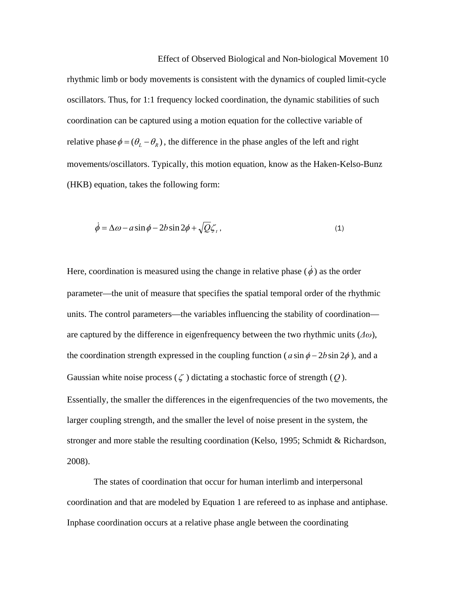Effect of Observed Biological and Non-biological Movement 10 rhythmic limb or body movements is consistent with the dynamics of coupled limit-cycle oscillators. Thus, for 1:1 frequency locked coordination, the dynamic stabilities of such coordination can be captured using a motion equation for the collective variable of relative phase  $\phi = (\theta_L - \theta_R)$ , the difference in the phase angles of the left and right movements/oscillators. Typically, this motion equation, know as the Haken-Kelso-Bunz (HKB) equation, takes the following form:

$$
\dot{\phi} = \Delta \omega - a \sin \phi - 2b \sin 2\phi + \sqrt{Q} \zeta_t, \qquad (1)
$$

Here, coordination is measured using the change in relative phase  $(\dot{\phi})$  as the order parameter—the unit of measure that specifies the spatial temporal order of the rhythmic units. The control parameters—the variables influencing the stability of coordination are captured by the difference in eigenfrequency between the two rhythmic units (*Δω*), the coordination strength expressed in the coupling function ( $a \sin \phi - 2b \sin 2\phi$ ), and a Gaussian white noise process  $(\zeta)$  dictating a stochastic force of strength  $(Q)$ . Essentially, the smaller the differences in the eigenfrequencies of the two movements, the larger coupling strength, and the smaller the level of noise present in the system, the stronger and more stable the resulting coordination (Kelso, 1995; Schmidt & Richardson, 2008).

The states of coordination that occur for human interlimb and interpersonal coordination and that are modeled by Equation 1 are refereed to as inphase and antiphase. Inphase coordination occurs at a relative phase angle between the coordinating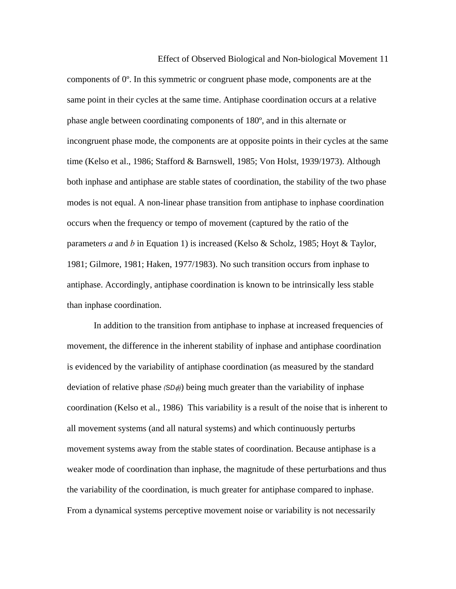Effect of Observed Biological and Non-biological Movement 11 components of 0º. In this symmetric or congruent phase mode, components are at the same point in their cycles at the same time. Antiphase coordination occurs at a relative phase angle between coordinating components of 180º, and in this alternate or incongruent phase mode, the components are at opposite points in their cycles at the same time (Kelso et al., 1986; Stafford & Barnswell, 1985; Von Holst, 1939/1973). Although both inphase and antiphase are stable states of coordination, the stability of the two phase modes is not equal. A non-linear phase transition from antiphase to inphase coordination occurs when the frequency or tempo of movement (captured by the ratio of the parameters *a* and *b* in Equation 1) is increased (Kelso & Scholz, 1985; Hoyt & Taylor, 1981; Gilmore, 1981; Haken, 1977/1983). No such transition occurs from inphase to antiphase. Accordingly, antiphase coordination is known to be intrinsically less stable than inphase coordination.

In addition to the transition from antiphase to inphase at increased frequencies of movement, the difference in the inherent stability of inphase and antiphase coordination is evidenced by the variability of antiphase coordination (as measured by the standard deviation of relative phase (SDφ)) being much greater than the variability of inphase coordination (Kelso et al., 1986) This variability is a result of the noise that is inherent to all movement systems (and all natural systems) and which continuously perturbs movement systems away from the stable states of coordination. Because antiphase is a weaker mode of coordination than inphase, the magnitude of these perturbations and thus the variability of the coordination, is much greater for antiphase compared to inphase. From a dynamical systems perceptive movement noise or variability is not necessarily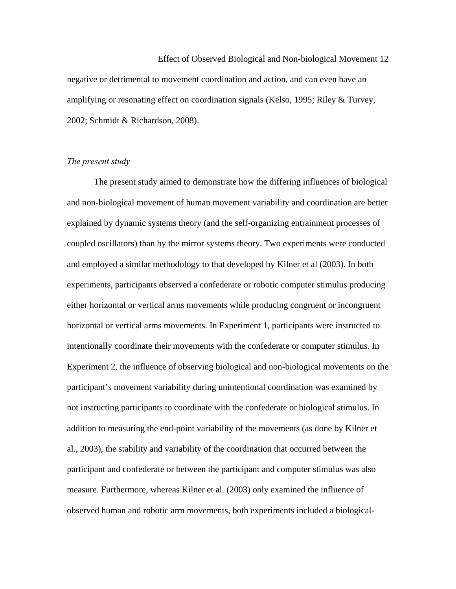Effect of Observed Biological and Non-biological Movement 12 negative or detrimental to movement coordination and action, and can even have an amplifying or resonating effect on coordination signals (Kelso, 1995; Riley & Turvey, 2002; Schmidt & Richardson, 2008).

## *The present study*

The present study aimed to demonstrate how the differing influences of biological and non-biological movement of human movement variability and coordination are better explained by dynamic systems theory (and the self-organizing entrainment processes of coupled oscillators) than by the mirror systems theory. Two experiments were conducted and employed a similar methodology to that developed by Kilner et al (2003). In both experiments, participants observed a confederate or robotic computer stimulus producing either horizontal or vertical arms movements while producing congruent or incongruent horizontal or vertical arms movements. In Experiment 1, participants were instructed to intentionally coordinate their movements with the confederate or computer stimulus. In Experiment 2, the influence of observing biological and non-biological movements on the participant's movement variability during unintentional coordination was examined by not instructing participants to coordinate with the confederate or biological stimulus. In addition to measuring the end-point variability of the movements (as done by Kilner et al., 2003), the stability and variability of the coordination that occurred between the participant and confederate or between the participant and computer stimulus was also measure. Furthermore, whereas Kilner et al. (2003) only examined the influence of observed human and robotic arm movements, both experiments included a biological-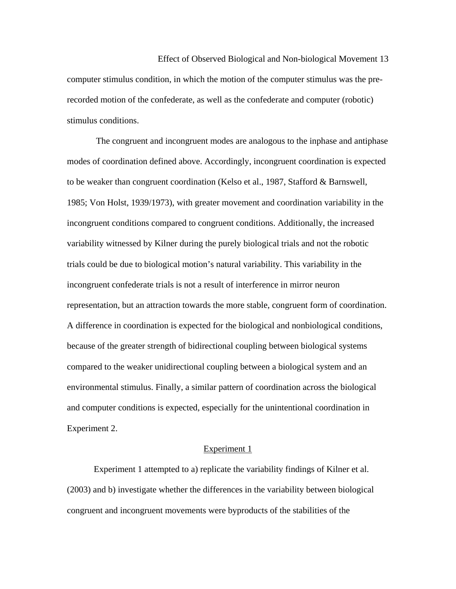Effect of Observed Biological and Non-biological Movement 13 computer stimulus condition, in which the motion of the computer stimulus was the prerecorded motion of the confederate, as well as the confederate and computer (robotic) stimulus conditions.

 The congruent and incongruent modes are analogous to the inphase and antiphase modes of coordination defined above. Accordingly, incongruent coordination is expected to be weaker than congruent coordination (Kelso et al., 1987, Stafford & Barnswell, 1985; Von Holst, 1939/1973), with greater movement and coordination variability in the incongruent conditions compared to congruent conditions. Additionally, the increased variability witnessed by Kilner during the purely biological trials and not the robotic trials could be due to biological motion's natural variability. This variability in the incongruent confederate trials is not a result of interference in mirror neuron representation, but an attraction towards the more stable, congruent form of coordination. A difference in coordination is expected for the biological and nonbiological conditions, because of the greater strength of bidirectional coupling between biological systems compared to the weaker unidirectional coupling between a biological system and an environmental stimulus. Finally, a similar pattern of coordination across the biological and computer conditions is expected, especially for the unintentional coordination in Experiment 2.

#### Experiment 1

 Experiment 1 attempted to a) replicate the variability findings of Kilner et al. (2003) and b) investigate whether the differences in the variability between biological congruent and incongruent movements were byproducts of the stabilities of the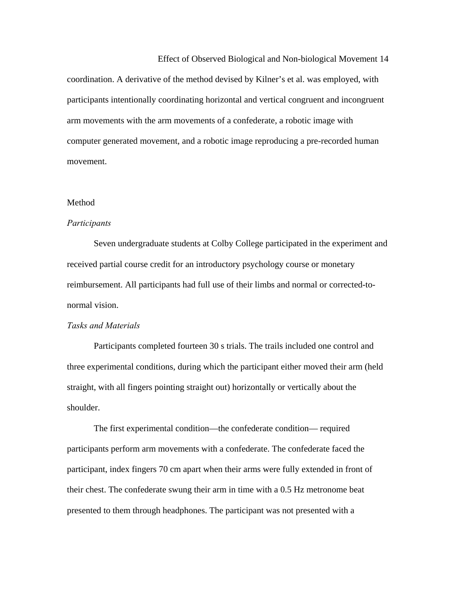Effect of Observed Biological and Non-biological Movement 14 coordination. A derivative of the method devised by Kilner's et al. was employed, with participants intentionally coordinating horizontal and vertical congruent and incongruent arm movements with the arm movements of a confederate, a robotic image with computer generated movement, and a robotic image reproducing a pre-recorded human movement.

#### **Method**

### *Participants*

Seven undergraduate students at Colby College participated in the experiment and received partial course credit for an introductory psychology course or monetary reimbursement. All participants had full use of their limbs and normal or corrected-tonormal vision.

### *Tasks and Materials*

Participants completed fourteen 30 s trials. The trails included one control and three experimental conditions, during which the participant either moved their arm (held straight, with all fingers pointing straight out) horizontally or vertically about the shoulder.

The first experimental condition—the confederate condition— required participants perform arm movements with a confederate. The confederate faced the participant, index fingers 70 cm apart when their arms were fully extended in front of their chest. The confederate swung their arm in time with a 0.5 Hz metronome beat presented to them through headphones. The participant was not presented with a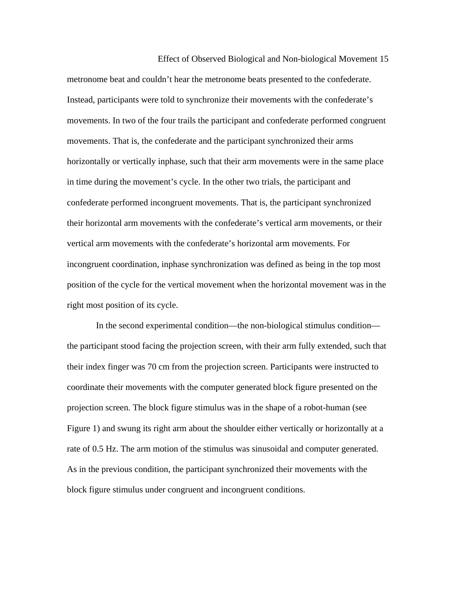Effect of Observed Biological and Non-biological Movement 15 metronome beat and couldn't hear the metronome beats presented to the confederate. Instead, participants were told to synchronize their movements with the confederate's movements. In two of the four trails the participant and confederate performed congruent movements. That is, the confederate and the participant synchronized their arms horizontally or vertically inphase, such that their arm movements were in the same place in time during the movement's cycle. In the other two trials, the participant and confederate performed incongruent movements. That is, the participant synchronized their horizontal arm movements with the confederate's vertical arm movements, or their vertical arm movements with the confederate's horizontal arm movements. For incongruent coordination, inphase synchronization was defined as being in the top most position of the cycle for the vertical movement when the horizontal movement was in the right most position of its cycle.

 In the second experimental condition—the non-biological stimulus condition the participant stood facing the projection screen, with their arm fully extended, such that their index finger was 70 cm from the projection screen. Participants were instructed to coordinate their movements with the computer generated block figure presented on the projection screen. The block figure stimulus was in the shape of a robot-human (see Figure 1) and swung its right arm about the shoulder either vertically or horizontally at a rate of 0.5 Hz. The arm motion of the stimulus was sinusoidal and computer generated. As in the previous condition, the participant synchronized their movements with the block figure stimulus under congruent and incongruent conditions.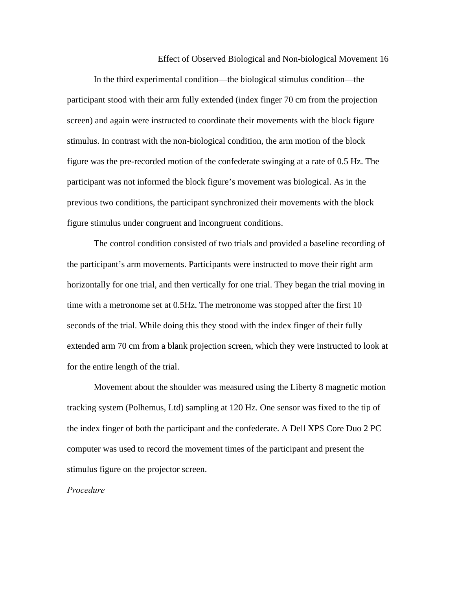In the third experimental condition—the biological stimulus condition—the participant stood with their arm fully extended (index finger 70 cm from the projection screen) and again were instructed to coordinate their movements with the block figure stimulus. In contrast with the non-biological condition, the arm motion of the block figure was the pre-recorded motion of the confederate swinging at a rate of 0.5 Hz. The participant was not informed the block figure's movement was biological. As in the previous two conditions, the participant synchronized their movements with the block figure stimulus under congruent and incongruent conditions.

The control condition consisted of two trials and provided a baseline recording of the participant's arm movements. Participants were instructed to move their right arm horizontally for one trial, and then vertically for one trial. They began the trial moving in time with a metronome set at 0.5Hz. The metronome was stopped after the first 10 seconds of the trial. While doing this they stood with the index finger of their fully extended arm 70 cm from a blank projection screen, which they were instructed to look at for the entire length of the trial.

Movement about the shoulder was measured using the Liberty 8 magnetic motion tracking system (Polhemus, Ltd) sampling at 120 Hz. One sensor was fixed to the tip of the index finger of both the participant and the confederate. A Dell XPS Core Duo 2 PC computer was used to record the movement times of the participant and present the stimulus figure on the projector screen.

## *Procedure*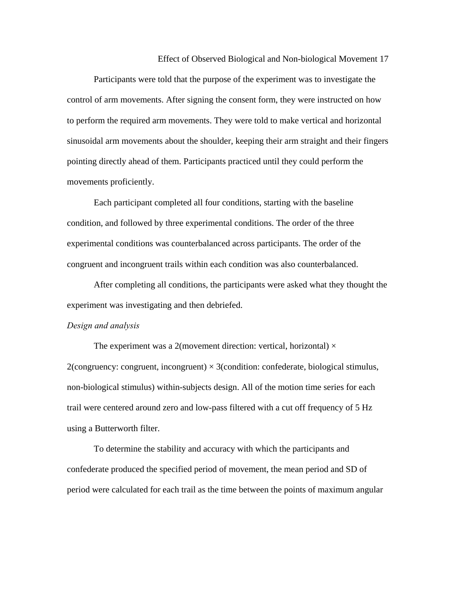Participants were told that the purpose of the experiment was to investigate the control of arm movements. After signing the consent form, they were instructed on how to perform the required arm movements. They were told to make vertical and horizontal sinusoidal arm movements about the shoulder, keeping their arm straight and their fingers pointing directly ahead of them. Participants practiced until they could perform the movements proficiently.

Each participant completed all four conditions, starting with the baseline condition, and followed by three experimental conditions. The order of the three experimental conditions was counterbalanced across participants. The order of the congruent and incongruent trails within each condition was also counterbalanced.

After completing all conditions, the participants were asked what they thought the experiment was investigating and then debriefed.

#### *Design and analysis*

The experiment was a 2(movement direction: vertical, horizontal)  $\times$ 2(congruency: congruent, incongruent)  $\times$  3(condition: confederate, biological stimulus, non-biological stimulus) within-subjects design. All of the motion time series for each trail were centered around zero and low-pass filtered with a cut off frequency of 5 Hz using a Butterworth filter.

To determine the stability and accuracy with which the participants and confederate produced the specified period of movement, the mean period and SD of period were calculated for each trail as the time between the points of maximum angular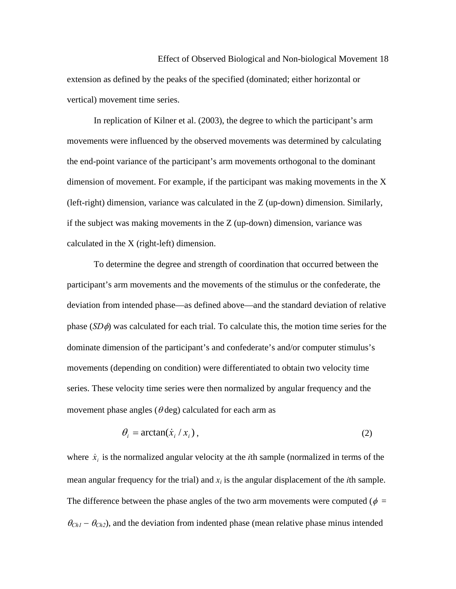Effect of Observed Biological and Non-biological Movement 18 extension as defined by the peaks of the specified (dominated; either horizontal or vertical) movement time series.

In replication of Kilner et al. (2003), the degree to which the participant's arm movements were influenced by the observed movements was determined by calculating the end-point variance of the participant's arm movements orthogonal to the dominant dimension of movement. For example, if the participant was making movements in the X (left-right) dimension, variance was calculated in the Z (up-down) dimension. Similarly, if the subject was making movements in the Z (up-down) dimension, variance was calculated in the X (right-left) dimension.

To determine the degree and strength of coordination that occurred between the participant's arm movements and the movements of the stimulus or the confederate, the deviation from intended phase—as defined above—and the standard deviation of relative phase (*SD*φ) was calculated for each trial. To calculate this, the motion time series for the dominate dimension of the participant's and confederate's and/or computer stimulus's movements (depending on condition) were differentiated to obtain two velocity time series. These velocity time series were then normalized by angular frequency and the movement phase angles ( $\theta$  deg) calculated for each arm as

$$
\theta_i = \arctan(\dot{x}_i / x_i), \tag{2}
$$

where  $\dot{x}_i$  is the normalized angular velocity at the *i*th sample (normalized in terms of the mean angular frequency for the trial) and  $x_i$  is the angular displacement of the *i*th sample. The difference between the phase angles of the two arm movements were computed ( $\phi =$  $\theta_{Ch1} - \theta_{Ch2}$ ), and the deviation from indented phase (mean relative phase minus intended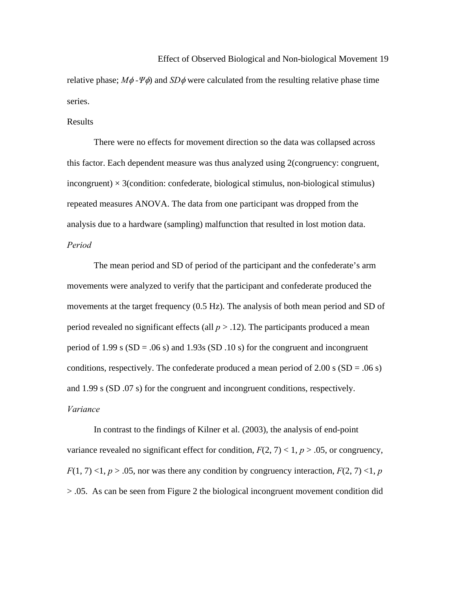Effect of Observed Biological and Non-biological Movement 19 relative phase; *M*φ *-Ψ*φ) and *SD*φ were calculated from the resulting relative phase time series.

#### Results

 There were no effects for movement direction so the data was collapsed across this factor. Each dependent measure was thus analyzed using 2(congruency: congruent, incongruent)  $\times$  3(condition: confederate, biological stimulus, non-biological stimulus) repeated measures ANOVA. The data from one participant was dropped from the analysis due to a hardware (sampling) malfunction that resulted in lost motion data. *Period*

 The mean period and SD of period of the participant and the confederate's arm movements were analyzed to verify that the participant and confederate produced the movements at the target frequency (0.5 Hz). The analysis of both mean period and SD of period revealed no significant effects (all  $p > .12$ ). The participants produced a mean period of 1.99 s  $(SD = .06 \text{ s})$  and 1.93s  $(SD .10 \text{ s})$  for the congruent and incongruent conditions, respectively. The confederate produced a mean period of  $2.00$  s (SD = .06 s) and 1.99 s (SD .07 s) for the congruent and incongruent conditions, respectively. *Variance*

 In contrast to the findings of Kilner et al. (2003), the analysis of end-point variance revealed no significant effect for condition,  $F(2, 7) < 1$ ,  $p > .05$ , or congruency,  $F(1, 7)$  <1,  $p > .05$ , nor was there any condition by congruency interaction,  $F(2, 7)$  <1,  $p$ > .05. As can be seen from Figure 2 the biological incongruent movement condition did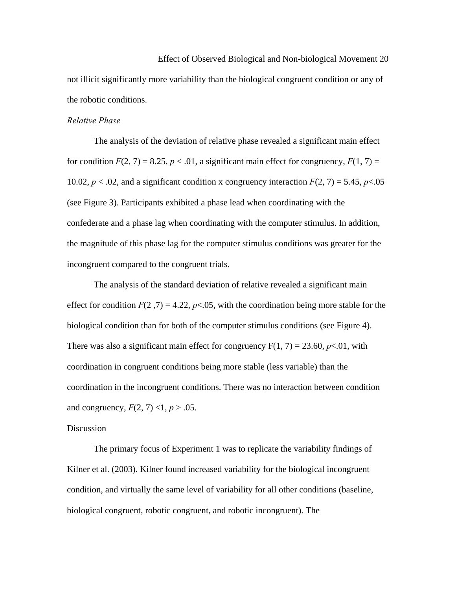Effect of Observed Biological and Non-biological Movement 20 not illicit significantly more variability than the biological congruent condition or any of the robotic conditions.

## *Relative Phase*

 The analysis of the deviation of relative phase revealed a significant main effect for condition  $F(2, 7) = 8.25$ ,  $p < .01$ , a significant main effect for congruency,  $F(1, 7) =$ 10.02,  $p < 0.02$ , and a significant condition x congruency interaction  $F(2, 7) = 5.45$ ,  $p < 0.05$ (see Figure 3). Participants exhibited a phase lead when coordinating with the confederate and a phase lag when coordinating with the computer stimulus. In addition, the magnitude of this phase lag for the computer stimulus conditions was greater for the incongruent compared to the congruent trials.

The analysis of the standard deviation of relative revealed a significant main effect for condition  $F(2, 7) = 4.22$ ,  $p < .05$ , with the coordination being more stable for the biological condition than for both of the computer stimulus conditions (see Figure 4). There was also a significant main effect for congruency  $F(1, 7) = 23.60$ ,  $p \lt 0.01$ , with coordination in congruent conditions being more stable (less variable) than the coordination in the incongruent conditions. There was no interaction between condition and congruency,  $F(2, 7)$  <1,  $p > .05$ .

## Discussion

 The primary focus of Experiment 1 was to replicate the variability findings of Kilner et al. (2003). Kilner found increased variability for the biological incongruent condition, and virtually the same level of variability for all other conditions (baseline, biological congruent, robotic congruent, and robotic incongruent). The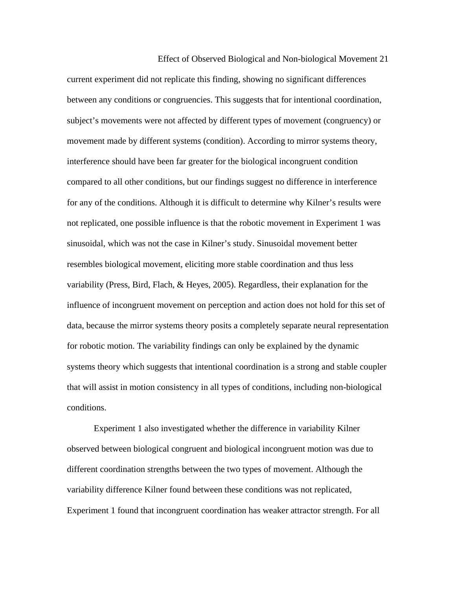Effect of Observed Biological and Non-biological Movement 21 current experiment did not replicate this finding, showing no significant differences between any conditions or congruencies. This suggests that for intentional coordination, subject's movements were not affected by different types of movement (congruency) or movement made by different systems (condition). According to mirror systems theory, interference should have been far greater for the biological incongruent condition compared to all other conditions, but our findings suggest no difference in interference for any of the conditions. Although it is difficult to determine why Kilner's results were not replicated, one possible influence is that the robotic movement in Experiment 1 was sinusoidal, which was not the case in Kilner's study. Sinusoidal movement better resembles biological movement, eliciting more stable coordination and thus less variability (Press, Bird, Flach, & Heyes, 2005). Regardless, their explanation for the influence of incongruent movement on perception and action does not hold for this set of data, because the mirror systems theory posits a completely separate neural representation for robotic motion. The variability findings can only be explained by the dynamic systems theory which suggests that intentional coordination is a strong and stable coupler that will assist in motion consistency in all types of conditions, including non-biological conditions.

 Experiment 1 also investigated whether the difference in variability Kilner observed between biological congruent and biological incongruent motion was due to different coordination strengths between the two types of movement. Although the variability difference Kilner found between these conditions was not replicated, Experiment 1 found that incongruent coordination has weaker attractor strength. For all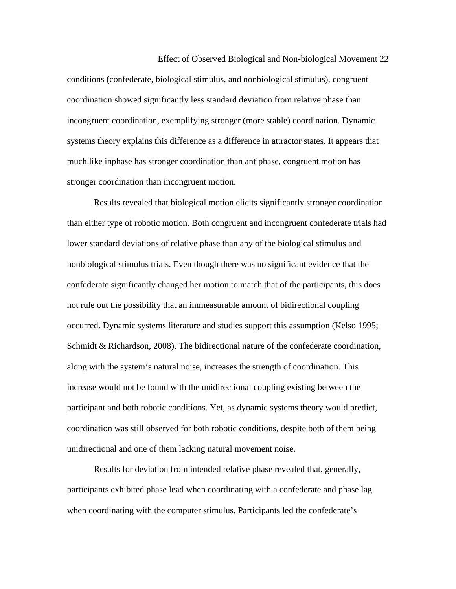Effect of Observed Biological and Non-biological Movement 22 conditions (confederate, biological stimulus, and nonbiological stimulus), congruent coordination showed significantly less standard deviation from relative phase than incongruent coordination, exemplifying stronger (more stable) coordination. Dynamic systems theory explains this difference as a difference in attractor states. It appears that much like inphase has stronger coordination than antiphase, congruent motion has stronger coordination than incongruent motion.

 Results revealed that biological motion elicits significantly stronger coordination than either type of robotic motion. Both congruent and incongruent confederate trials had lower standard deviations of relative phase than any of the biological stimulus and nonbiological stimulus trials. Even though there was no significant evidence that the confederate significantly changed her motion to match that of the participants, this does not rule out the possibility that an immeasurable amount of bidirectional coupling occurred. Dynamic systems literature and studies support this assumption (Kelso 1995; Schmidt & Richardson, 2008). The bidirectional nature of the confederate coordination, along with the system's natural noise, increases the strength of coordination. This increase would not be found with the unidirectional coupling existing between the participant and both robotic conditions. Yet, as dynamic systems theory would predict, coordination was still observed for both robotic conditions, despite both of them being unidirectional and one of them lacking natural movement noise.

 Results for deviation from intended relative phase revealed that, generally, participants exhibited phase lead when coordinating with a confederate and phase lag when coordinating with the computer stimulus. Participants led the confederate's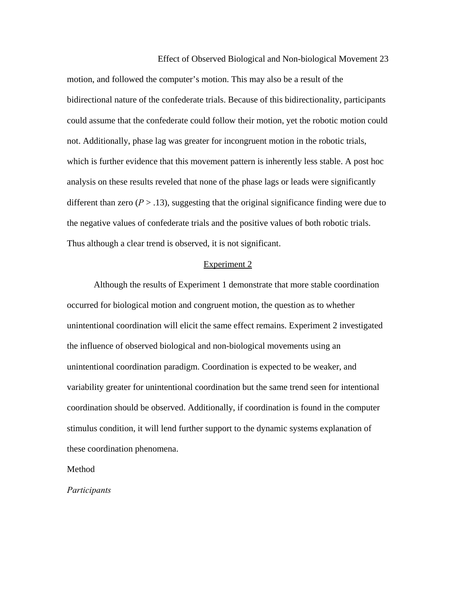Effect of Observed Biological and Non-biological Movement 23 motion, and followed the computer's motion. This may also be a result of the bidirectional nature of the confederate trials. Because of this bidirectionality, participants could assume that the confederate could follow their motion, yet the robotic motion could not. Additionally, phase lag was greater for incongruent motion in the robotic trials, which is further evidence that this movement pattern is inherently less stable. A post hoc analysis on these results reveled that none of the phase lags or leads were significantly different than zero  $(P > .13)$ , suggesting that the original significance finding were due to the negative values of confederate trials and the positive values of both robotic trials. Thus although a clear trend is observed, it is not significant.

#### Experiment 2

Although the results of Experiment 1 demonstrate that more stable coordination occurred for biological motion and congruent motion, the question as to whether unintentional coordination will elicit the same effect remains. Experiment 2 investigated the influence of observed biological and non-biological movements using an unintentional coordination paradigm. Coordination is expected to be weaker, and variability greater for unintentional coordination but the same trend seen for intentional coordination should be observed. Additionally, if coordination is found in the computer stimulus condition, it will lend further support to the dynamic systems explanation of these coordination phenomena.

Method

*Participants*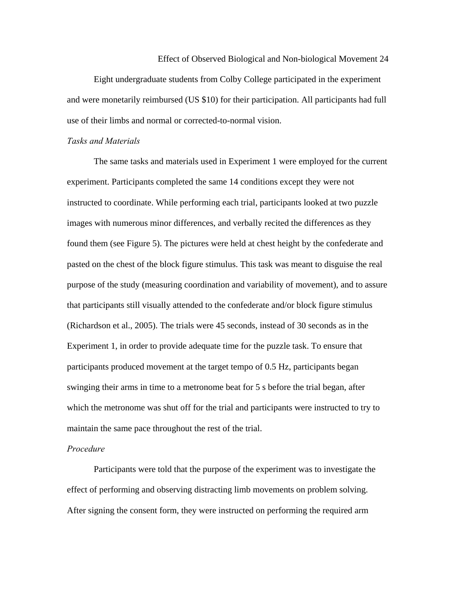Effect of Observed Biological and Non-biological Movement 24 Eight undergraduate students from Colby College participated in the experiment and were monetarily reimbursed (US \$10) for their participation. All participants had full use of their limbs and normal or corrected-to-normal vision.

#### *Tasks and Materials*

 The same tasks and materials used in Experiment 1 were employed for the current experiment. Participants completed the same 14 conditions except they were not instructed to coordinate. While performing each trial, participants looked at two puzzle images with numerous minor differences, and verbally recited the differences as they found them (see Figure 5). The pictures were held at chest height by the confederate and pasted on the chest of the block figure stimulus. This task was meant to disguise the real purpose of the study (measuring coordination and variability of movement), and to assure that participants still visually attended to the confederate and/or block figure stimulus (Richardson et al., 2005). The trials were 45 seconds, instead of 30 seconds as in the Experiment 1, in order to provide adequate time for the puzzle task. To ensure that participants produced movement at the target tempo of 0.5 Hz, participants began swinging their arms in time to a metronome beat for 5 s before the trial began, after which the metronome was shut off for the trial and participants were instructed to try to maintain the same pace throughout the rest of the trial.

## *Procedure*

Participants were told that the purpose of the experiment was to investigate the effect of performing and observing distracting limb movements on problem solving. After signing the consent form, they were instructed on performing the required arm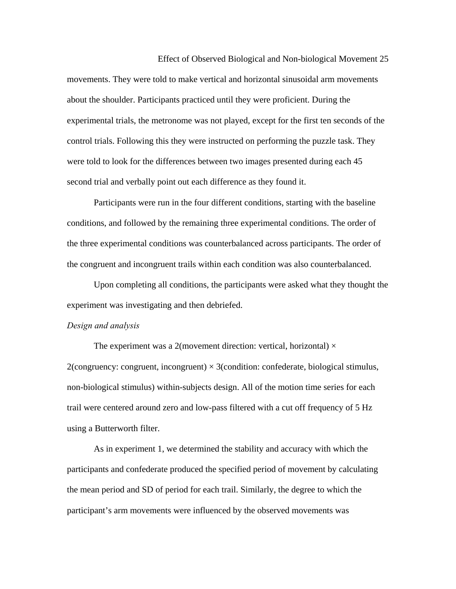Effect of Observed Biological and Non-biological Movement 25 movements. They were told to make vertical and horizontal sinusoidal arm movements about the shoulder. Participants practiced until they were proficient. During the experimental trials, the metronome was not played, except for the first ten seconds of the control trials. Following this they were instructed on performing the puzzle task. They were told to look for the differences between two images presented during each 45 second trial and verbally point out each difference as they found it.

Participants were run in the four different conditions, starting with the baseline conditions, and followed by the remaining three experimental conditions. The order of the three experimental conditions was counterbalanced across participants. The order of the congruent and incongruent trails within each condition was also counterbalanced.

Upon completing all conditions, the participants were asked what they thought the experiment was investigating and then debriefed.

#### *Design and analysis*

The experiment was a 2(movement direction: vertical, horizontal)  $\times$ 2(congruency: congruent, incongruent)  $\times$  3(condition: confederate, biological stimulus, non-biological stimulus) within-subjects design. All of the motion time series for each trail were centered around zero and low-pass filtered with a cut off frequency of 5 Hz using a Butterworth filter.

 As in experiment 1, we determined the stability and accuracy with which the participants and confederate produced the specified period of movement by calculating the mean period and SD of period for each trail. Similarly, the degree to which the participant's arm movements were influenced by the observed movements was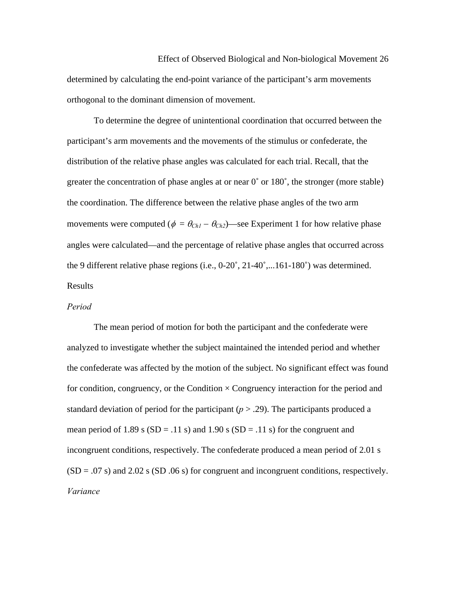Effect of Observed Biological and Non-biological Movement 26 determined by calculating the end-point variance of the participant's arm movements orthogonal to the dominant dimension of movement.

 To determine the degree of unintentional coordination that occurred between the participant's arm movements and the movements of the stimulus or confederate, the distribution of the relative phase angles was calculated for each trial. Recall, that the greater the concentration of phase angles at or near 0˚ or 180˚, the stronger (more stable) the coordination. The difference between the relative phase angles of the two arm movements were computed ( $\phi = \theta_{Ch1} - \theta_{Ch2}$ )—see Experiment 1 for how relative phase angles were calculated—and the percentage of relative phase angles that occurred across the 9 different relative phase regions (i.e., 0-20˚, 21-40˚,...161-180˚) was determined. Results

### *Period*

The mean period of motion for both the participant and the confederate were analyzed to investigate whether the subject maintained the intended period and whether the confederate was affected by the motion of the subject. No significant effect was found for condition, congruency, or the Condition  $\times$  Congruency interaction for the period and standard deviation of period for the participant  $(p > .29)$ . The participants produced a mean period of 1.89 s  $(SD = .11 s)$  and 1.90 s  $(SD = .11 s)$  for the congruent and incongruent conditions, respectively. The confederate produced a mean period of 2.01 s  $(SD = .07 \text{ s})$  and 2.02 s  $(SD .06 \text{ s})$  for congruent and incongruent conditions, respectively. *Variance*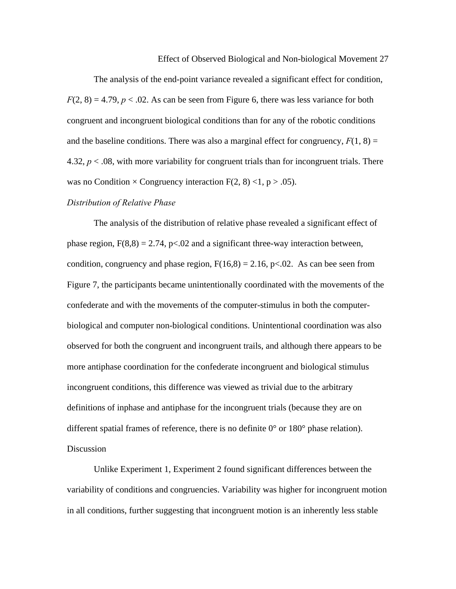The analysis of the end-point variance revealed a significant effect for condition,  $F(2, 8) = 4.79$ ,  $p < 0.02$ . As can be seen from Figure 6, there was less variance for both congruent and incongruent biological conditions than for any of the robotic conditions and the baseline conditions. There was also a marginal effect for congruency,  $F(1, 8) =$ 4.32,  $p < 0.08$ , with more variability for congruent trials than for incongruent trials. There was no Condition  $\times$  Congruency interaction F(2, 8) <1, p > .05).

#### *Distribution of Relative Phase*

 The analysis of the distribution of relative phase revealed a significant effect of phase region,  $F(8,8) = 2.74$ ,  $p < 0.02$  and a significant three-way interaction between, condition, congruency and phase region,  $F(16,8) = 2.16$ , p<.02. As can bee seen from Figure 7, the participants became unintentionally coordinated with the movements of the confederate and with the movements of the computer-stimulus in both the computerbiological and computer non-biological conditions. Unintentional coordination was also observed for both the congruent and incongruent trails, and although there appears to be more antiphase coordination for the confederate incongruent and biological stimulus incongruent conditions, this difference was viewed as trivial due to the arbitrary definitions of inphase and antiphase for the incongruent trials (because they are on different spatial frames of reference, there is no definite  $0^{\circ}$  or  $180^{\circ}$  phase relation). **Discussion** 

 Unlike Experiment 1, Experiment 2 found significant differences between the variability of conditions and congruencies. Variability was higher for incongruent motion in all conditions, further suggesting that incongruent motion is an inherently less stable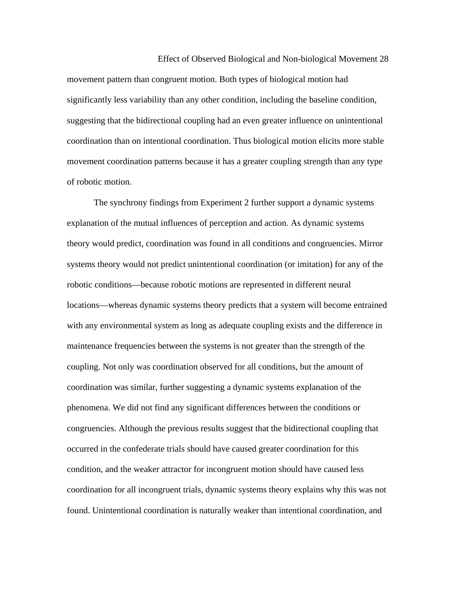movement pattern than congruent motion. Both types of biological motion had significantly less variability than any other condition, including the baseline condition, suggesting that the bidirectional coupling had an even greater influence on unintentional coordination than on intentional coordination. Thus biological motion elicits more stable movement coordination patterns because it has a greater coupling strength than any type of robotic motion.

 The synchrony findings from Experiment 2 further support a dynamic systems explanation of the mutual influences of perception and action. As dynamic systems theory would predict, coordination was found in all conditions and congruencies. Mirror systems theory would not predict unintentional coordination (or imitation) for any of the robotic conditions—because robotic motions are represented in different neural locations—whereas dynamic systems theory predicts that a system will become entrained with any environmental system as long as adequate coupling exists and the difference in maintenance frequencies between the systems is not greater than the strength of the coupling. Not only was coordination observed for all conditions, but the amount of coordination was similar, further suggesting a dynamic systems explanation of the phenomena. We did not find any significant differences between the conditions or congruencies. Although the previous results suggest that the bidirectional coupling that occurred in the confederate trials should have caused greater coordination for this condition, and the weaker attractor for incongruent motion should have caused less coordination for all incongruent trials, dynamic systems theory explains why this was not found. Unintentional coordination is naturally weaker than intentional coordination, and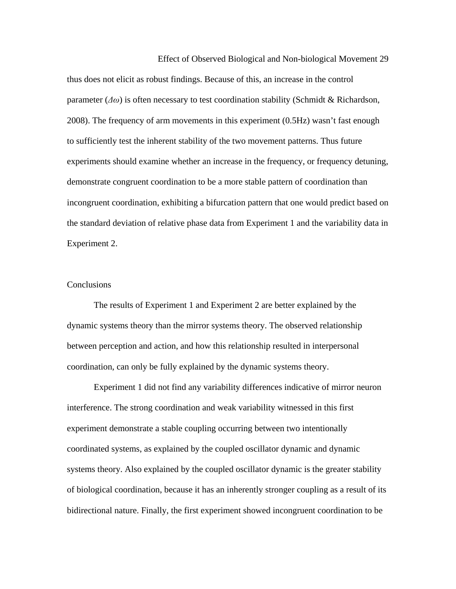Effect of Observed Biological and Non-biological Movement 29 thus does not elicit as robust findings. Because of this, an increase in the control parameter (*Δω*) is often necessary to test coordination stability (Schmidt & Richardson, 2008). The frequency of arm movements in this experiment (0.5Hz) wasn't fast enough to sufficiently test the inherent stability of the two movement patterns. Thus future experiments should examine whether an increase in the frequency, or frequency detuning, demonstrate congruent coordination to be a more stable pattern of coordination than incongruent coordination, exhibiting a bifurcation pattern that one would predict based on the standard deviation of relative phase data from Experiment 1 and the variability data in Experiment 2.

## **Conclusions**

 The results of Experiment 1 and Experiment 2 are better explained by the dynamic systems theory than the mirror systems theory. The observed relationship between perception and action, and how this relationship resulted in interpersonal coordination, can only be fully explained by the dynamic systems theory.

Experiment 1 did not find any variability differences indicative of mirror neuron interference. The strong coordination and weak variability witnessed in this first experiment demonstrate a stable coupling occurring between two intentionally coordinated systems, as explained by the coupled oscillator dynamic and dynamic systems theory. Also explained by the coupled oscillator dynamic is the greater stability of biological coordination, because it has an inherently stronger coupling as a result of its bidirectional nature. Finally, the first experiment showed incongruent coordination to be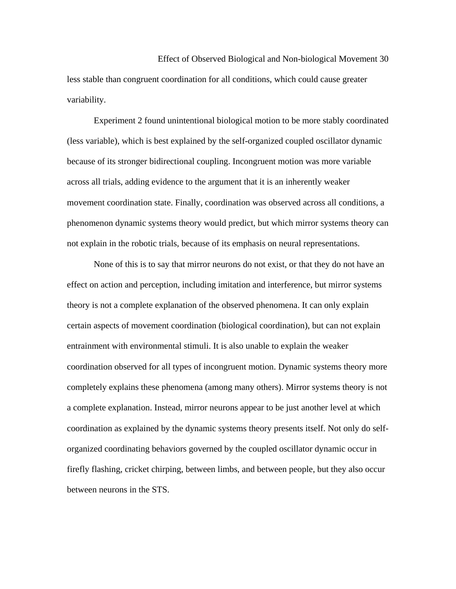Effect of Observed Biological and Non-biological Movement 30 less stable than congruent coordination for all conditions, which could cause greater variability.

 Experiment 2 found unintentional biological motion to be more stably coordinated (less variable), which is best explained by the self-organized coupled oscillator dynamic because of its stronger bidirectional coupling. Incongruent motion was more variable across all trials, adding evidence to the argument that it is an inherently weaker movement coordination state. Finally, coordination was observed across all conditions, a phenomenon dynamic systems theory would predict, but which mirror systems theory can not explain in the robotic trials, because of its emphasis on neural representations.

 None of this is to say that mirror neurons do not exist, or that they do not have an effect on action and perception, including imitation and interference, but mirror systems theory is not a complete explanation of the observed phenomena. It can only explain certain aspects of movement coordination (biological coordination), but can not explain entrainment with environmental stimuli. It is also unable to explain the weaker coordination observed for all types of incongruent motion. Dynamic systems theory more completely explains these phenomena (among many others). Mirror systems theory is not a complete explanation. Instead, mirror neurons appear to be just another level at which coordination as explained by the dynamic systems theory presents itself. Not only do selforganized coordinating behaviors governed by the coupled oscillator dynamic occur in firefly flashing, cricket chirping, between limbs, and between people, but they also occur between neurons in the STS.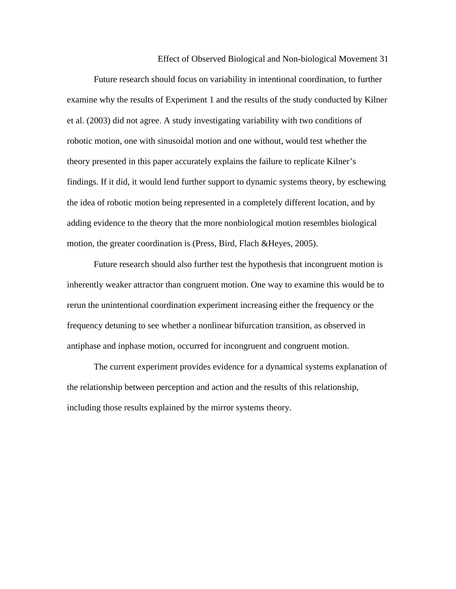Future research should focus on variability in intentional coordination, to further examine why the results of Experiment 1 and the results of the study conducted by Kilner et al. (2003) did not agree. A study investigating variability with two conditions of robotic motion, one with sinusoidal motion and one without, would test whether the theory presented in this paper accurately explains the failure to replicate Kilner's findings. If it did, it would lend further support to dynamic systems theory, by eschewing the idea of robotic motion being represented in a completely different location, and by adding evidence to the theory that the more nonbiological motion resembles biological motion, the greater coordination is (Press, Bird, Flach &Heyes, 2005).

 Future research should also further test the hypothesis that incongruent motion is inherently weaker attractor than congruent motion. One way to examine this would be to rerun the unintentional coordination experiment increasing either the frequency or the frequency detuning to see whether a nonlinear bifurcation transition, as observed in antiphase and inphase motion, occurred for incongruent and congruent motion.

 The current experiment provides evidence for a dynamical systems explanation of the relationship between perception and action and the results of this relationship, including those results explained by the mirror systems theory.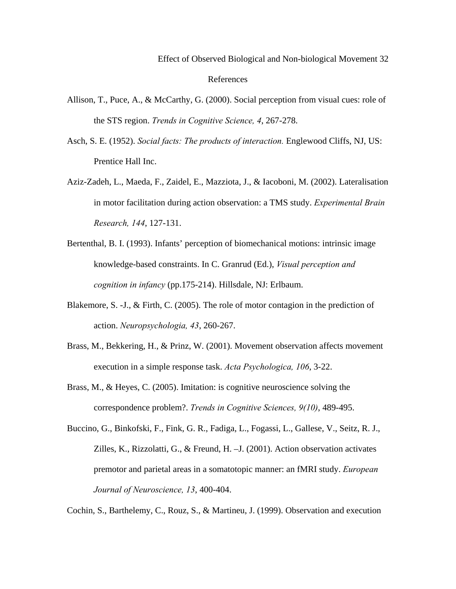- Allison, T., Puce, A., & McCarthy, G. (2000). Social perception from visual cues: role of the STS region. *Trends in Cognitive Science, 4*, 267-278.
- Asch, S. E. (1952). *Social facts: The products of interaction.* Englewood Cliffs, NJ, US: Prentice Hall Inc.
- Aziz-Zadeh, L., Maeda, F., Zaidel, E., Mazziota, J., & Iacoboni, M. (2002). Lateralisation in motor facilitation during action observation: a TMS study. *Experimental Brain Research, 144*, 127-131.
- Bertenthal, B. I. (1993). Infants' perception of biomechanical motions: intrinsic image knowledge-based constraints. In C. Granrud (Ed.), *Visual perception and cognition in infancy* (pp.175-214). Hillsdale, NJ: Erlbaum.
- Blakemore, S. -J., & Firth, C. (2005). The role of motor contagion in the prediction of action. *Neuropsychologia, 43*, 260-267.
- Brass, M., Bekkering, H., & Prinz, W. (2001). Movement observation affects movement execution in a simple response task. *Acta Psychologica, 106*, 3-22.
- Brass, M., & Heyes, C. (2005). Imitation: is cognitive neuroscience solving the correspondence problem?. *Trends in Cognitive Sciences, 9(10)*, 489-495.
- Buccino, G., Binkofski, F., Fink, G. R., Fadiga, L., Fogassi, L., Gallese, V., Seitz, R. J., Zilles, K., Rizzolatti, G., & Freund, H. –J. (2001). Action observation activates premotor and parietal areas in a somatotopic manner: an fMRI study. *European Journal of Neuroscience, 13*, 400-404.

Cochin, S., Barthelemy, C., Rouz, S., & Martineu, J. (1999). Observation and execution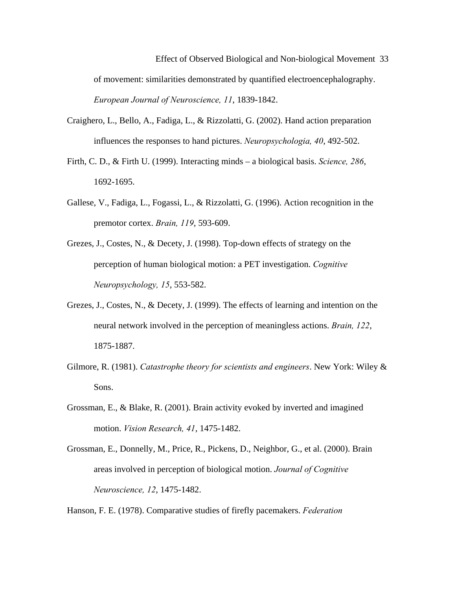Effect of Observed Biological and Non-biological Movement 33 of movement: similarities demonstrated by quantified electroencephalography.  *European Journal of Neuroscience, 11*, 1839-1842.

- Craighero, L., Bello, A., Fadiga, L., & Rizzolatti, G. (2002). Hand action preparation influences the responses to hand pictures. *Neuropsychologia, 40*, 492-502.
- Firth, C. D., & Firth U. (1999). Interacting minds a biological basis. *Science, 286*, 1692-1695.
- Gallese, V., Fadiga, L., Fogassi, L., & Rizzolatti, G. (1996). Action recognition in the premotor cortex. *Brain, 119*, 593-609.
- Grezes, J., Costes, N., & Decety, J. (1998). Top-down effects of strategy on the perception of human biological motion: a PET investigation. *Cognitive Neuropsychology, 15*, 553-582.
- Grezes, J., Costes, N., & Decety, J. (1999). The effects of learning and intention on the neural network involved in the perception of meaningless actions. *Brain, 122*, 1875-1887.
- Gilmore, R. (1981). *Catastrophe theory for scientists and engineers*. New York: Wiley & Sons.
- Grossman, E., & Blake, R. (2001). Brain activity evoked by inverted and imagined motion. *Vision Research, 41*, 1475-1482.
- Grossman, E., Donnelly, M., Price, R., Pickens, D., Neighbor, G., et al. (2000). Brain areas involved in perception of biological motion. *Journal of Cognitive Neuroscience, 12*, 1475-1482.

Hanson, F. E. (1978). Comparative studies of firefly pacemakers. *Federation*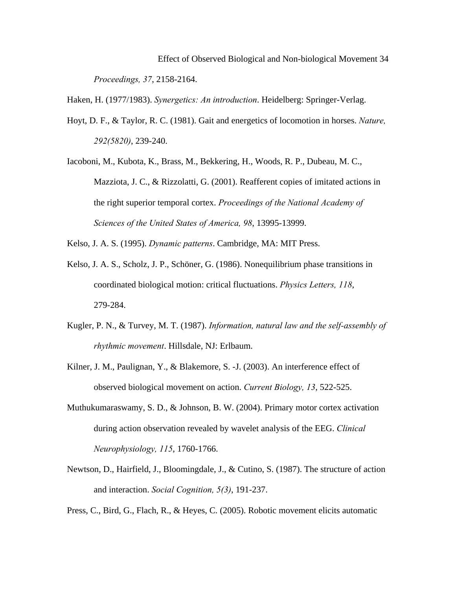Effect of Observed Biological and Non-biological Movement 34 *Proceedings, 37*, 2158-2164.

Haken, H. (1977/1983). *Synergetics: An introduction*. Heidelberg: Springer-Verlag.

- Hoyt, D. F., & Taylor, R. C. (1981). Gait and energetics of locomotion in horses. *Nature, 292(5820)*, 239-240.
- Iacoboni, M., Kubota, K., Brass, M., Bekkering, H., Woods, R. P., Dubeau, M. C., Mazziota, J. C., & Rizzolatti, G. (2001). Reafferent copies of imitated actions in the right superior temporal cortex. *Proceedings of the National Academy of Sciences of the United States of America, 98*, 13995-13999.
- Kelso, J. A. S. (1995). *Dynamic patterns*. Cambridge, MA: MIT Press.
- Kelso, J. A. S., Scholz, J. P., Schöner, G. (1986). Nonequilibrium phase transitions in coordinated biological motion: critical fluctuations. *Physics Letters, 118*, 279-284.
- Kugler, P. N., & Turvey, M. T. (1987). *Information, natural law and the self-assembly of rhythmic movement*. Hillsdale, NJ: Erlbaum.
- Kilner, J. M., Paulignan, Y., & Blakemore, S. -J. (2003). An interference effect of observed biological movement on action. *Current Biology, 13*, 522-525.
- Muthukumaraswamy, S. D., & Johnson, B. W. (2004). Primary motor cortex activation during action observation revealed by wavelet analysis of the EEG. *Clinical Neurophysiology, 115*, 1760-1766.
- Newtson, D., Hairfield, J., Bloomingdale, J., & Cutino, S. (1987). The structure of action and interaction. *Social Cognition, 5(3)*, 191-237.

Press, C., Bird, G., Flach, R., & Heyes, C. (2005). Robotic movement elicits automatic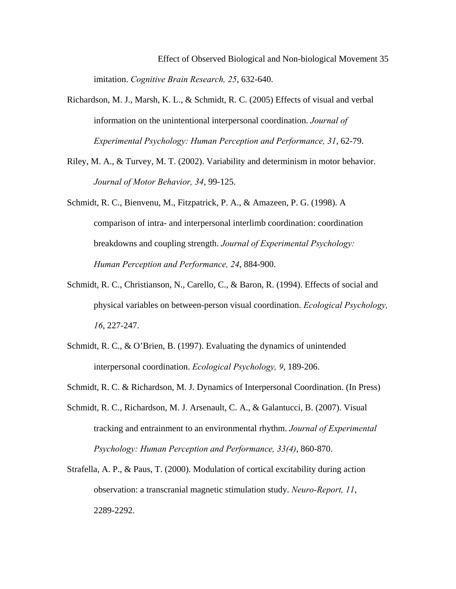Effect of Observed Biological and Non-biological Movement 35 imitation. *Cognitive Brain Research, 25*, 632-640.

- Richardson, M. J., Marsh, K. L., & Schmidt, R. C. (2005) Effects of visual and verbal information on the unintentional interpersonal coordination. *Journal of Experimental Psychology: Human Perception and Performance, 31*, 62-79.
- Riley, M. A., & Turvey, M. T. (2002). Variability and determinism in motor behavior. *Journal of Motor Behavior, 34*, 99-125.
- Schmidt, R. C., Bienvenu, M., Fitzpatrick, P. A., & Amazeen, P. G. (1998). A comparison of intra- and interpersonal interlimb coordination: coordination breakdowns and coupling strength. *Journal of Experimental Psychology: Human Perception and Performance, 24*, 884-900.
- Schmidt, R. C., Christianson, N., Carello, C., & Baron, R. (1994). Effects of social and physical variables on between-person visual coordination. *Ecological Psychology, 16*, 227-247.
- Schmidt, R. C., & O'Brien, B. (1997). Evaluating the dynamics of unintended interpersonal coordination. *Ecological Psychology, 9*, 189-206.
- Schmidt, R. C. & Richardson, M. J. Dynamics of Interpersonal Coordination. (In Press)
- Schmidt, R. C., Richardson, M. J. Arsenault, C. A., & Galantucci, B. (2007). Visual tracking and entrainment to an environmental rhythm. *Journal of Experimental Psychology: Human Perception and Performance, 33(4)*, 860-870.
- Strafella, A. P., & Paus, T. (2000). Modulation of cortical excitability during action observation: a transcranial magnetic stimulation study. *Neuro-Report, 11*, 2289-2292.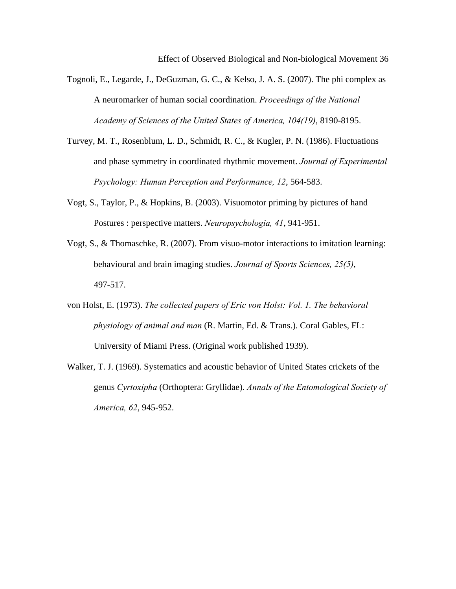- Tognoli, E., Legarde, J., DeGuzman, G. C., & Kelso, J. A. S. (2007). The phi complex as A neuromarker of human social coordination. *Proceedings of the National Academy of Sciences of the United States of America, 104(19)*, 8190-8195.
- Turvey, M. T., Rosenblum, L. D., Schmidt, R. C., & Kugler, P. N. (1986). Fluctuations and phase symmetry in coordinated rhythmic movement. *Journal of Experimental Psychology: Human Perception and Performance, 12*, 564-583.
- Vogt, S., Taylor, P., & Hopkins, B. (2003). Visuomotor priming by pictures of hand Postures : perspective matters. *Neuropsychologia, 41*, 941-951.
- Vogt, S., & Thomaschke, R. (2007). From visuo-motor interactions to imitation learning: behavioural and brain imaging studies. *Journal of Sports Sciences, 25(5)*, 497-517.
- von Holst, E. (1973). *The collected papers of Eric von Holst: Vol. 1. The behavioral physiology of animal and man* (R. Martin, Ed. & Trans.). Coral Gables, FL: University of Miami Press. (Original work published 1939).
- Walker, T. J. (1969). Systematics and acoustic behavior of United States crickets of the genus *Cyrtoxipha* (Orthoptera: Gryllidae). *Annals of the Entomological Society of America, 62*, 945-952.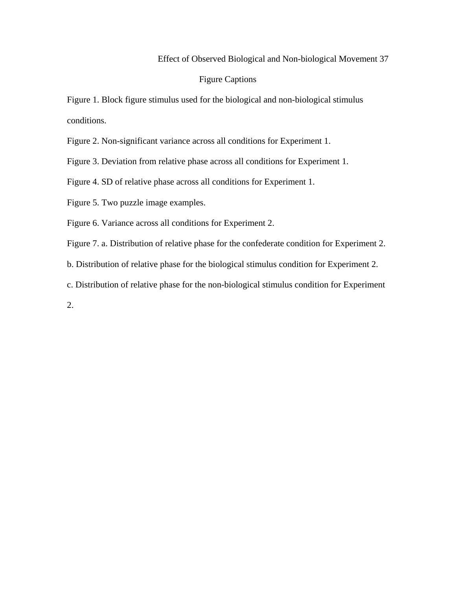## Figure Captions

Figure 1. Block figure stimulus used for the biological and non-biological stimulus conditions.

Figure 2. Non-significant variance across all conditions for Experiment 1.

Figure 3. Deviation from relative phase across all conditions for Experiment 1.

Figure 4. SD of relative phase across all conditions for Experiment 1.

Figure 5. Two puzzle image examples.

Figure 6. Variance across all conditions for Experiment 2.

Figure 7. a. Distribution of relative phase for the confederate condition for Experiment 2.

b. Distribution of relative phase for the biological stimulus condition for Experiment 2.

c. Distribution of relative phase for the non-biological stimulus condition for Experiment

2.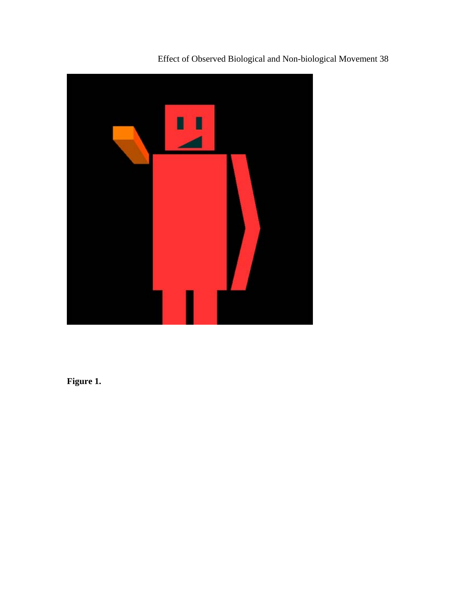

**Figure 1.**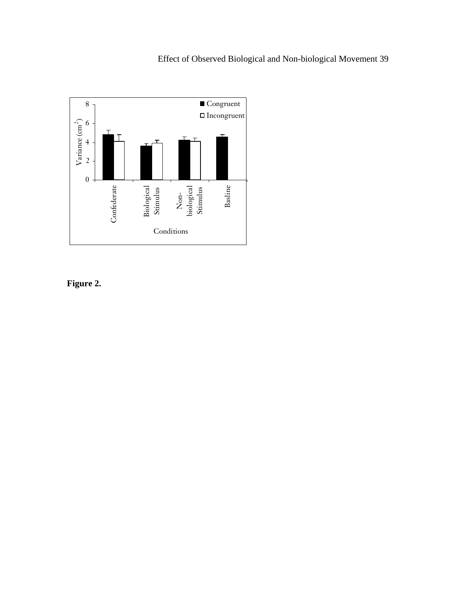

**Figure 2.**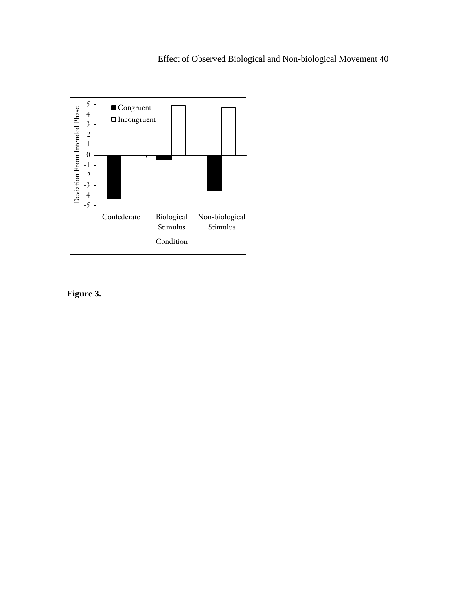

**Figure 3.**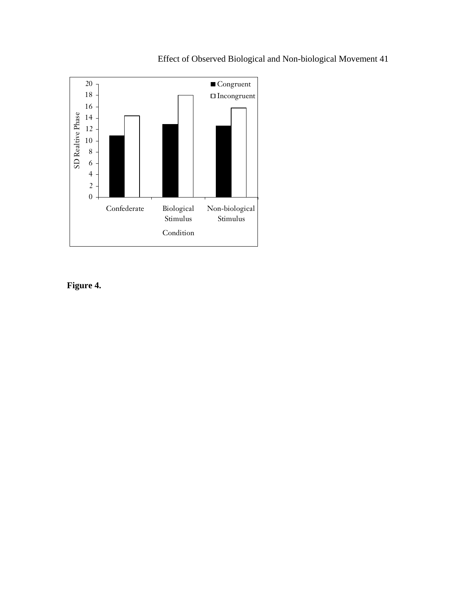

**Figure 4.**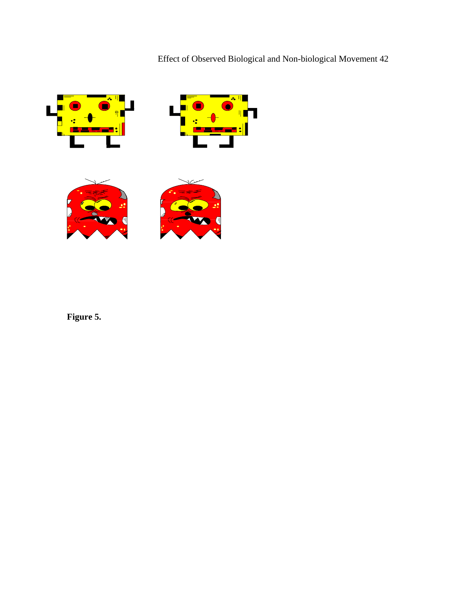







**Figure 5.**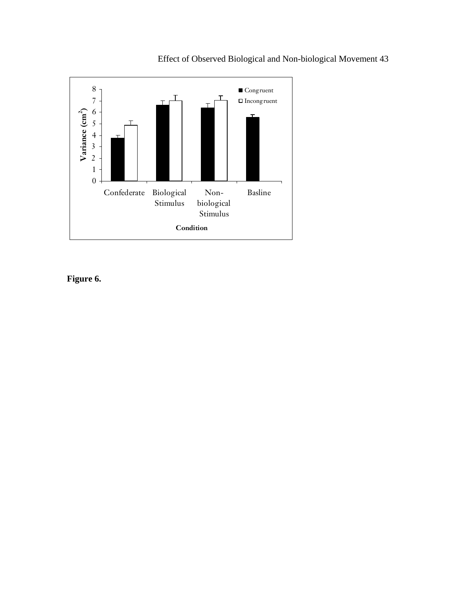

**Figure 6.**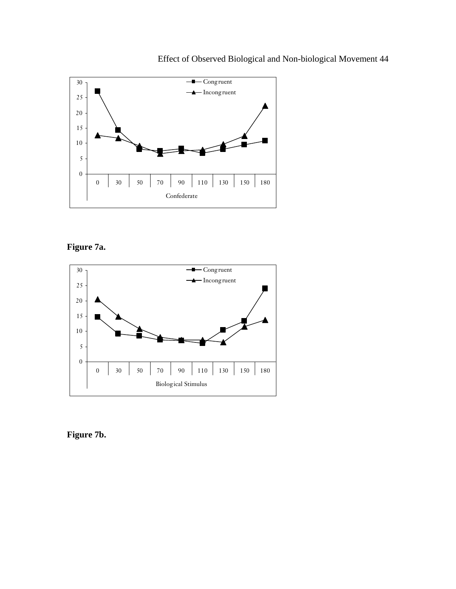

**Figure 7a.** 



**Figure 7b.**